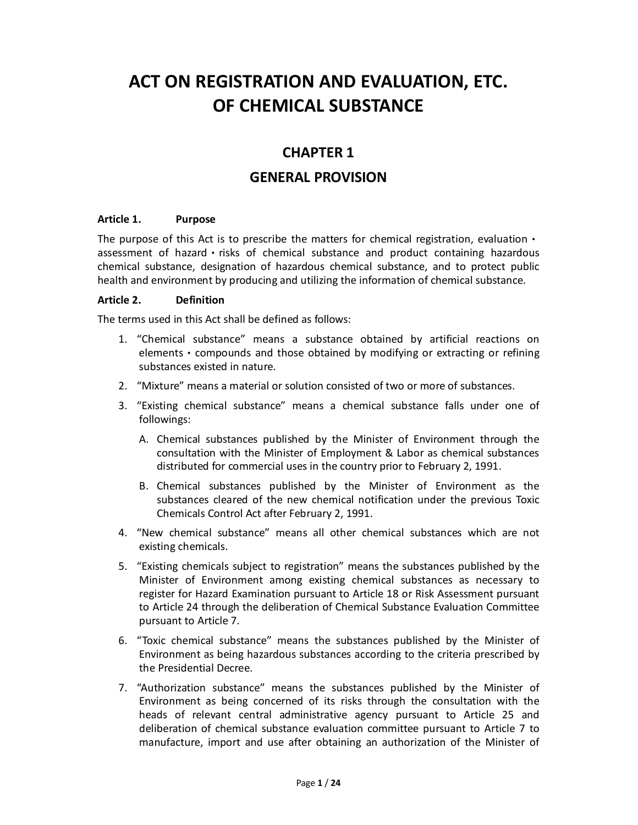# **ACT ON REGISTRATION AND EVALUATION, ETC. OF CHEMICAL SUBSTANCE**

# **CHAPTER 1**

# **GENERAL PROVISION**

#### **Article 1. Purpose**

The purpose of this Act is to prescribe the matters for chemical registration, evaluation  $\cdot$ assessment of hazard • risks of chemical substance and product containing hazardous chemical substance, designation of hazardous chemical substance, and to protect public health and environment by producing and utilizing the information of chemical substance.

#### **Article 2. Definition**

The terms used in this Act shall be defined as follows:

- 1. "Chemical substance" means a substance obtained by artificial reactions on elements • compounds and those obtained by modifying or extracting or refining substances existed in nature.
- 2. "Mixture" means a material or solution consisted of two or more of substances.
- 3. "Existing chemical substance" means a chemical substance falls under one of followings:
	- A. Chemical substances published by the Minister of Environment through the consultation with the Minister of Employment & Labor as chemical substances distributed for commercial uses in the country prior to February 2, 1991.
	- B. Chemical substances published by the Minister of Environment as the substances cleared of the new chemical notification under the previous Toxic Chemicals Control Act after February 2, 1991.
- 4. "New chemical substance" means all other chemical substances which are not existing chemicals.
- 5. "Existing chemicals subject to registration" means the substances published by the Minister of Environment among existing chemical substances as necessary to register for Hazard Examination pursuant to Article 18 or Risk Assessment pursuant to Article 24 through the deliberation of Chemical Substance Evaluation Committee pursuant to Article 7.
- 6. "Toxic chemical substance" means the substances published by the Minister of Environment as being hazardous substances according to the criteria prescribed by the Presidential Decree.
- 7. "Authorization substance" means the substances published by the Minister of Environment as being concerned of its risks through the consultation with the heads of relevant central administrative agency pursuant to Article 25 and deliberation of chemical substance evaluation committee pursuant to Article 7 to manufacture, import and use after obtaining an authorization of the Minister of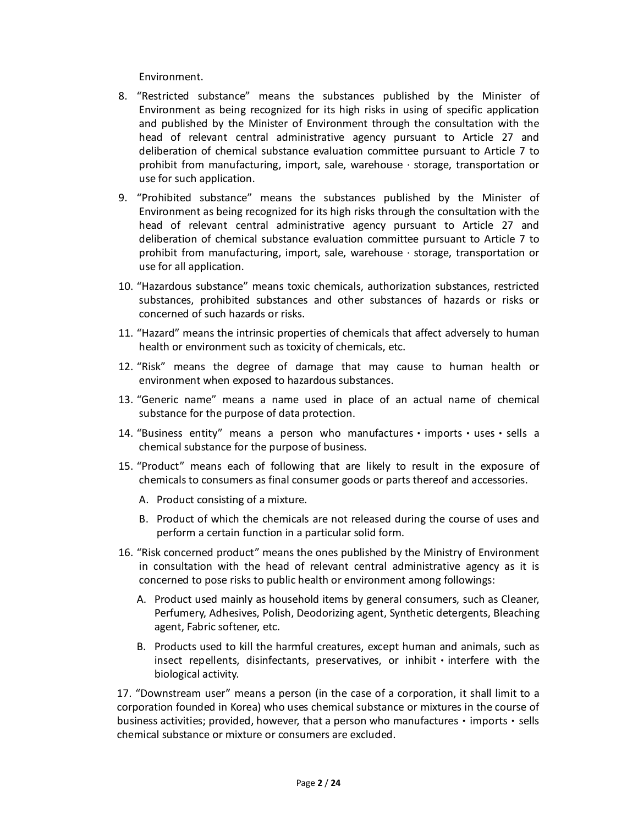Environment.

- 8. "Restricted substance" means the substances published by the Minister of Environment as being recognized for its high risks in using of specific application and published by the Minister of Environment through the consultation with the head of relevant central administrative agency pursuant to Article 27 and deliberation of chemical substance evaluation committee pursuant to Article 7 to prohibit from manufacturing, import, sale, warehouse · storage, transportation or use for such application.
- 9. "Prohibited substance" means the substances published by the Minister of Environment as being recognized for its high risks through the consultation with the head of relevant central administrative agency pursuant to Article 27 and deliberation of chemical substance evaluation committee pursuant to Article 7 to prohibit from manufacturing, import, sale, warehouse · storage, transportation or use for all application.
- 10. "Hazardous substance" means toxic chemicals, authorization substances, restricted substances, prohibited substances and other substances of hazards or risks or concerned of such hazards or risks.
- 11. "Hazard" means the intrinsic properties of chemicals that affect adversely to human health or environment such as toxicity of chemicals, etc.
- 12. "Risk" means the degree of damage that may cause to human health or environment when exposed to hazardous substances.
- 13. "Generic name" means a name used in place of an actual name of chemical substance for the purpose of data protection.
- 14. "Business entity" means a person who manufacturesㆍimportsㆍusesㆍsells a chemical substance for the purpose of business.
- 15. "Product" means each of following that are likely to result in the exposure of chemicals to consumers as final consumer goods or parts thereof and accessories.
	- A. Product consisting of a mixture.
	- B. Product of which the chemicals are not released during the course of uses and perform a certain function in a particular solid form.
- 16. "Risk concerned product" means the ones published by the Ministry of Environment in consultation with the head of relevant central administrative agency as it is concerned to pose risks to public health or environment among followings:
	- A. Product used mainly as household items by general consumers, such as Cleaner, Perfumery, Adhesives, Polish, Deodorizing agent, Synthetic detergents, Bleaching agent, Fabric softener, etc.
	- B. Products used to kill the harmful creatures, except human and animals, such as insect repellents, disinfectants, preservatives, or inhibit • interfere with the biological activity.

17. "Downstream user" means a person (in the case of a corporation, it shall limit to a corporation founded in Korea) who uses chemical substance or mixtures in the course of business activities; provided, however, that a person who manufactures • imports • sells chemical substance or mixture or consumers are excluded.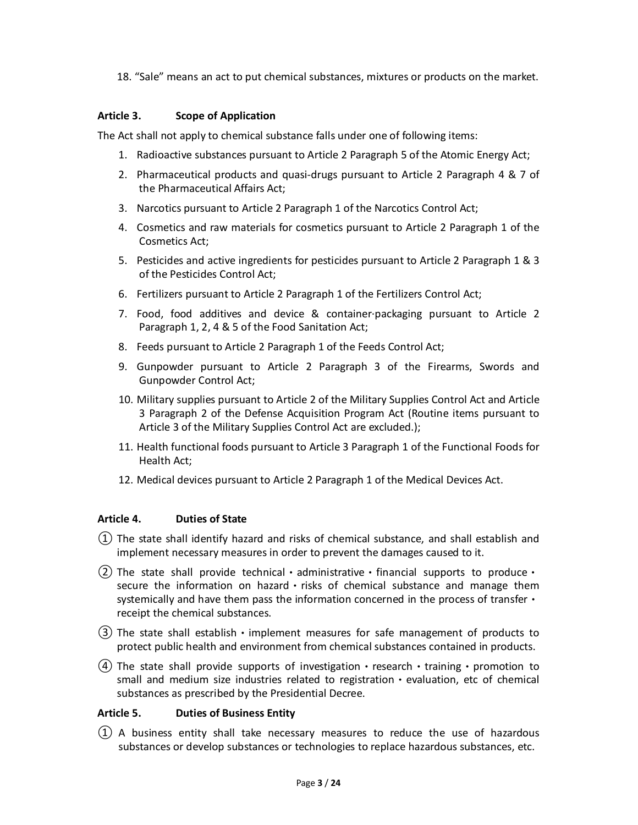18. "Sale" means an act to put chemical substances, mixtures or products on the market.

### **Article 3. Scope of Application**

The Act shall not apply to chemical substance falls under one of following items:

- 1. Radioactive substances pursuant to Article 2 Paragraph 5 of the Atomic Energy Act;
- 2. Pharmaceutical products and quasi-drugs pursuant to Article 2 Paragraph 4 & 7 of the Pharmaceutical Affairs Act;
- 3. Narcotics pursuant to Article 2 Paragraph 1 of the Narcotics Control Act;
- 4. Cosmetics and raw materials for cosmetics pursuant to Article 2 Paragraph 1 of the Cosmetics Act;
- 5. Pesticides and active ingredients for pesticides pursuant to Article 2 Paragraph 1 & 3 of the Pesticides Control Act;
- 6. Fertilizers pursuant to Article 2 Paragraph 1 of the Fertilizers Control Act;
- 7. Food, food additives and device & container·packaging pursuant to Article 2 Paragraph 1, 2, 4 & 5 of the Food Sanitation Act;
- 8. Feeds pursuant to Article 2 Paragraph 1 of the Feeds Control Act;
- 9. Gunpowder pursuant to Article 2 Paragraph 3 of the Firearms, Swords and Gunpowder Control Act;
- 10. Military supplies pursuant to Article 2 of the Military Supplies Control Act and Article 3 Paragraph 2 of the Defense Acquisition Program Act (Routine items pursuant to Article 3 of the Military Supplies Control Act are excluded.);
- 11. Health functional foods pursuant to Article 3 Paragraph 1 of the Functional Foods for Health Act;
- 12. Medical devices pursuant to Article 2 Paragraph 1 of the Medical Devices Act.

# **Article 4. Duties of State**

- $(1)$  The state shall identify hazard and risks of chemical substance, and shall establish and implement necessary measures in order to prevent the damages caused to it.
- (2) The state shall provide technical administrative financial supports to produce secure the information on hazard  $\cdot$  risks of chemical substance and manage them systemically and have them pass the information concerned in the process of transfer  $\cdot$ receipt the chemical substances.
- $(3)$  The state shall establish  $\cdot$  implement measures for safe management of products to protect public health and environment from chemical substances contained in products.
- (4) The state shall provide supports of investigation research training promotion to small and medium size industries related to registration • evaluation, etc of chemical substances as prescribed by the Presidential Decree.

#### **Article 5. Duties of Business Entity**

① A business entity shall take necessary measures to reduce the use of hazardous substances or develop substances or technologies to replace hazardous substances, etc.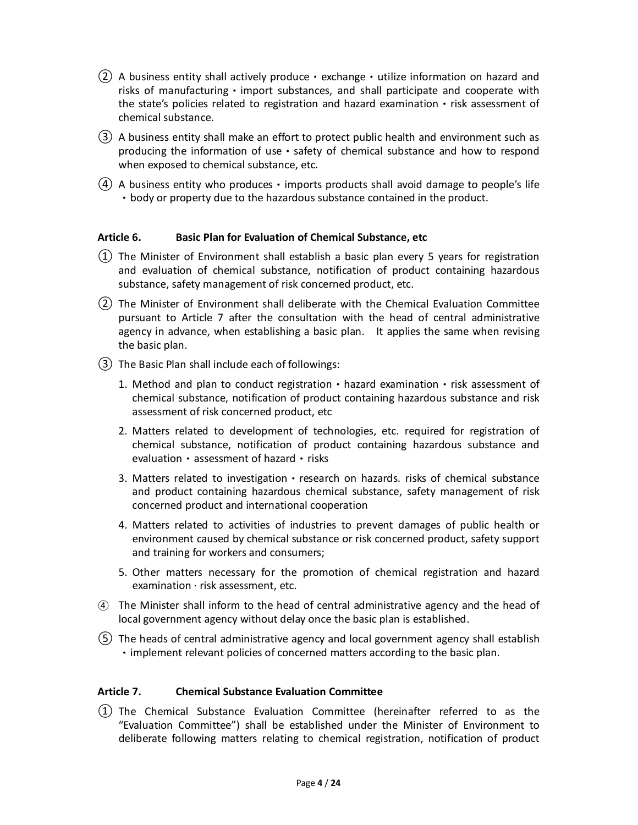- $(2)$  A business entity shall actively produce exchange utilize information on hazard and risks of manufacturing  $\cdot$  import substances, and shall participate and cooperate with the state's policies related to registration and hazard examination • risk assessment of chemical substance.
- ③ A business entity shall make an effort to protect public health and environment such as producing the information of use  $\cdot$  safety of chemical substance and how to respond when exposed to chemical substance, etc.
- $(4)$  A business entity who produces  $\cdot$  imports products shall avoid damage to people's life • body or property due to the hazardous substance contained in the product.

#### **Article 6. Basic Plan for Evaluation of Chemical Substance, etc**

- ① The Minister of Environment shall establish a basic plan every 5 years for registration and evaluation of chemical substance, notification of product containing hazardous substance, safety management of risk concerned product, etc.
- ② The Minister of Environment shall deliberate with the Chemical Evaluation Committee pursuant to Article 7 after the consultation with the head of central administrative agency in advance, when establishing a basic plan. It applies the same when revising the basic plan.
- ③ The Basic Plan shall include each of followings:
	- 1. Method and plan to conduct registration  $\cdot$  hazard examination  $\cdot$  risk assessment of chemical substance, notification of product containing hazardous substance and risk assessment of risk concerned product, etc
	- 2. Matters related to development of technologies, etc. required for registration of chemical substance, notification of product containing hazardous substance and evaluation • assessment of hazard • risks
	- 3. Matters related to investigation research on hazards. risks of chemical substance and product containing hazardous chemical substance, safety management of risk concerned product and international cooperation
	- 4. Matters related to activities of industries to prevent damages of public health or environment caused by chemical substance or risk concerned product, safety support and training for workers and consumers;
	- 5. Other matters necessary for the promotion of chemical registration and hazard examination  $\cdot$  risk assessment, etc.
- ④ The Minister shall inform to the head of central administrative agency and the head of local government agency without delay once the basic plan is established.
- ⑤ The heads of central administrative agency and local government agency shall establish • implement relevant policies of concerned matters according to the basic plan.

#### **Article 7. Chemical Substance Evaluation Committee**

① The Chemical Substance Evaluation Committee (hereinafter referred to as the "Evaluation Committee") shall be established under the Minister of Environment to deliberate following matters relating to chemical registration, notification of product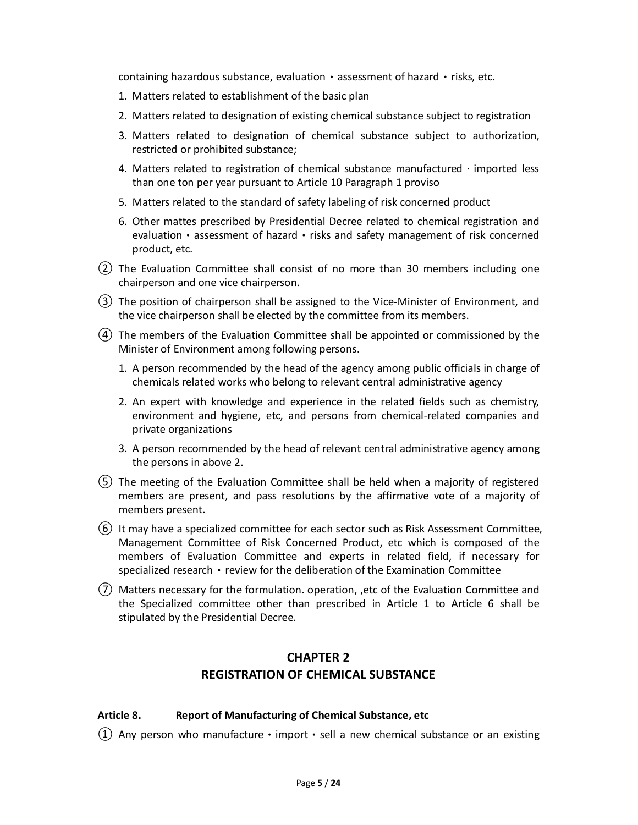containing hazardous substance, evaluation • assessment of hazard • risks, etc.

- 1. Matters related to establishment of the basic plan
- 2. Matters related to designation of existing chemical substance subject to registration
- 3. Matters related to designation of chemical substance subject to authorization, restricted or prohibited substance;
- 4. Matters related to registration of chemical substance manufactured  $\cdot$  imported less than one ton per year pursuant to Article 10 Paragraph 1 proviso
- 5. Matters related to the standard of safety labeling of risk concerned product
- 6. Other mattes prescribed by Presidential Decree related to chemical registration and evaluation • assessment of hazard • risks and safety management of risk concerned product, etc.
- ② The Evaluation Committee shall consist of no more than 30 members including one chairperson and one vice chairperson.
- ③ The position of chairperson shall be assigned to the Vice-Minister of Environment, and the vice chairperson shall be elected by the committee from its members.
- ④ The members of the Evaluation Committee shall be appointed or commissioned by the Minister of Environment among following persons.
	- 1. A person recommended by the head of the agency among public officials in charge of chemicals related works who belong to relevant central administrative agency
	- 2. An expert with knowledge and experience in the related fields such as chemistry, environment and hygiene, etc, and persons from chemical-related companies and private organizations
	- 3. A person recommended by the head of relevant central administrative agency among the persons in above 2.
- ⑤ The meeting of the Evaluation Committee shall be held when a majority of registered members are present, and pass resolutions by the affirmative vote of a majority of members present.
- ⑥ It may have a specialized committee for each sector such as Risk Assessment Committee, Management Committee of Risk Concerned Product, etc which is composed of the members of Evaluation Committee and experts in related field, if necessary for specialized research • review for the deliberation of the Examination Committee
- ⑦ Matters necessary for the formulation. operation, ,etc of the Evaluation Committee and the Specialized committee other than prescribed in Article 1 to Article 6 shall be stipulated by the Presidential Decree.

# **CHAPTER 2 REGISTRATION OF CHEMICAL SUBSTANCE**

#### **Article 8. Report of Manufacturing of Chemical Substance, etc**

(1) Any person who manufacture • import • sell a new chemical substance or an existing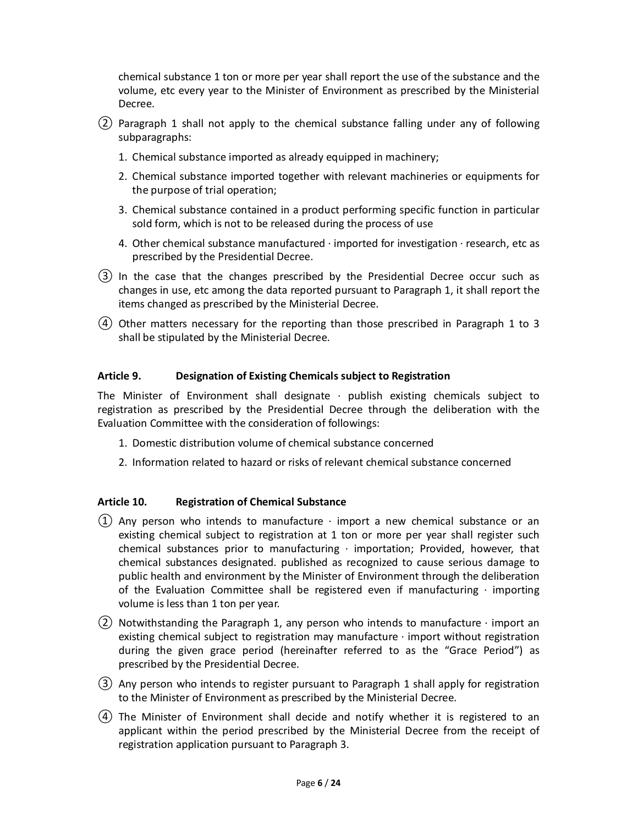chemical substance 1 ton or more per year shall report the use of the substance and the volume, etc every year to the Minister of Environment as prescribed by the Ministerial Decree.

- ② Paragraph 1 shall not apply to the chemical substance falling under any of following subparagraphs:
	- 1. Chemical substance imported as already equipped in machinery;
	- 2. Chemical substance imported together with relevant machineries or equipments for the purpose of trial operation;
	- 3. Chemical substance contained in a product performing specific function in particular sold form, which is not to be released during the process of use
	- 4. Other chemical substance manufactured  $\cdot$  imported for investigation  $\cdot$  research, etc as prescribed by the Presidential Decree.
- ③ In the case that the changes prescribed by the Presidential Decree occur such as changes in use, etc among the data reported pursuant to Paragraph 1, it shall report the items changed as prescribed by the Ministerial Decree.
- $(4)$  Other matters necessary for the reporting than those prescribed in Paragraph 1 to 3 shall be stipulated by the Ministerial Decree.

# **Article 9. Designation of Existing Chemicals subject to Registration**

The Minister of Environment shall designate  $\cdot$  publish existing chemicals subject to registration as prescribed by the Presidential Decree through the deliberation with the Evaluation Committee with the consideration of followings:

- 1. Domestic distribution volume of chemical substance concerned
- 2. Information related to hazard or risks of relevant chemical substance concerned

# **Article 10. Registration of Chemical Substance**

- (1) Any person who intends to manufacture  $\cdot$  import a new chemical substance or an existing chemical subject to registration at 1 ton or more per year shall register such chemical substances prior to manufacturing · importation; Provided, however, that chemical substances designated. published as recognized to cause serious damage to public health and environment by the Minister of Environment through the deliberation of the Evaluation Committee shall be registered even if manufacturing  $\cdot$  importing volume is less than 1 ton per year.
- (2) Notwithstanding the Paragraph 1, any person who intends to manufacture  $\cdot$  import an existing chemical subject to registration may manufacture · import without registration during the given grace period (hereinafter referred to as the "Grace Period") as prescribed by the Presidential Decree.
- ③ Any person who intends to register pursuant to Paragraph 1 shall apply for registration to the Minister of Environment as prescribed by the Ministerial Decree.
- ④ The Minister of Environment shall decide and notify whether it is registered to an applicant within the period prescribed by the Ministerial Decree from the receipt of registration application pursuant to Paragraph 3.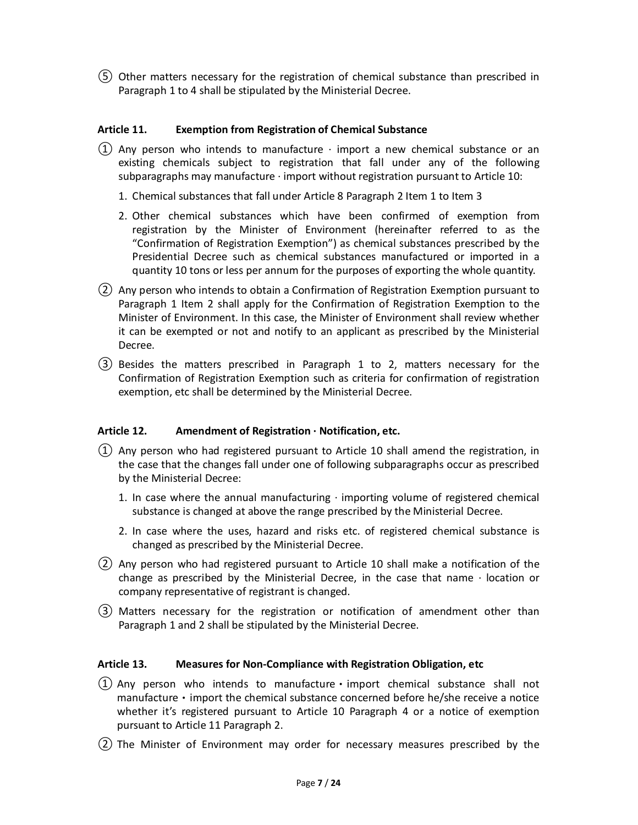⑤ Other matters necessary for the registration of chemical substance than prescribed in Paragraph 1 to 4 shall be stipulated by the Ministerial Decree.

### **Article 11. Exemption from Registration of Chemical Substance**

- (1) Any person who intends to manufacture  $\cdot$  import a new chemical substance or an existing chemicals subject to registration that fall under any of the following subparagraphs may manufacture  $\cdot$  import without registration pursuant to Article 10:
	- 1. Chemical substances that fall under Article 8 Paragraph 2 Item 1 to Item 3
	- 2. Other chemical substances which have been confirmed of exemption from registration by the Minister of Environment (hereinafter referred to as the "Confirmation of Registration Exemption") as chemical substances prescribed by the Presidential Decree such as chemical substances manufactured or imported in a quantity 10 tons or less per annum for the purposes of exporting the whole quantity.
- ② Any person who intends to obtain a Confirmation of Registration Exemption pursuant to Paragraph 1 Item 2 shall apply for the Confirmation of Registration Exemption to the Minister of Environment. In this case, the Minister of Environment shall review whether it can be exempted or not and notify to an applicant as prescribed by the Ministerial Decree.
- ③ Besides the matters prescribed in Paragraph 1 to 2, matters necessary for the Confirmation of Registration Exemption such as criteria for confirmation of registration exemption, etc shall be determined by the Ministerial Decree.

# **Article 12. Amendment of Registration · Notification, etc.**

- $(1)$  Any person who had registered pursuant to Article 10 shall amend the registration, in the case that the changes fall under one of following subparagraphs occur as prescribed by the Ministerial Decree:
	- 1. In case where the annual manufacturing  $\cdot$  importing volume of registered chemical substance is changed at above the range prescribed by the Ministerial Decree.
	- 2. In case where the uses, hazard and risks etc. of registered chemical substance is changed as prescribed by the Ministerial Decree.
- ② Any person who had registered pursuant to Article 10 shall make a notification of the change as prescribed by the Ministerial Decree, in the case that name · location or company representative of registrant is changed.
- ③ Matters necessary for the registration or notification of amendment other than Paragraph 1 and 2 shall be stipulated by the Ministerial Decree.

#### **Article 13. Measures for Non-Compliance with Registration Obligation, etc**

- $(1)$  Any person who intends to manufacture · import chemical substance shall not manufacture  $\cdot$  import the chemical substance concerned before he/she receive a notice whether it's registered pursuant to Article 10 Paragraph 4 or a notice of exemption pursuant to Article 11 Paragraph 2.
- ② The Minister of Environment may order for necessary measures prescribed by the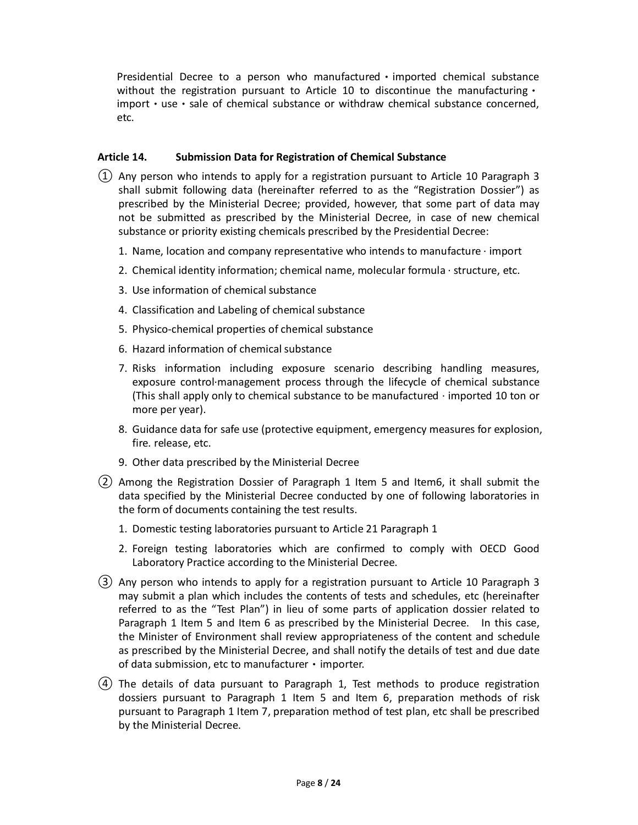Presidential Decree to a person who manufacturedㆍimported chemical substance without the registration pursuant to Article 10 to discontinue the manufacturing  $\cdot$ import • use • sale of chemical substance or withdraw chemical substance concerned, etc.

### **Article 14. Submission Data for Registration of Chemical Substance**

- $(1)$  Any person who intends to apply for a registration pursuant to Article 10 Paragraph 3 shall submit following data (hereinafter referred to as the "Registration Dossier") as prescribed by the Ministerial Decree; provided, however, that some part of data may not be submitted as prescribed by the Ministerial Decree, in case of new chemical substance or priority existing chemicals prescribed by the Presidential Decree:
	- 1. Name, location and company representative who intends to manufacture  $\cdot$  import
	- 2. Chemical identity information; chemical name, molecular formula · structure, etc.
	- 3. Use information of chemical substance
	- 4. Classification and Labeling of chemical substance
	- 5. Physico-chemical properties of chemical substance
	- 6. Hazard information of chemical substance
	- 7. Risks information including exposure scenario describing handling measures, exposure control·management process through the lifecycle of chemical substance (This shall apply only to chemical substance to be manufactured  $\cdot$  imported 10 ton or more per year).
	- 8. Guidance data for safe use (protective equipment, emergency measures for explosion, fire. release, etc.
	- 9. Other data prescribed by the Ministerial Decree
- ② Among the Registration Dossier of Paragraph 1 Item 5 and Item6, it shall submit the data specified by the Ministerial Decree conducted by one of following laboratories in the form of documents containing the test results.
	- 1. Domestic testing laboratories pursuant to Article 21 Paragraph 1
	- 2. Foreign testing laboratories which are confirmed to comply with OECD Good Laboratory Practice according to the Ministerial Decree.
- ③ Any person who intends to apply for a registration pursuant to Article 10 Paragraph 3 may submit a plan which includes the contents of tests and schedules, etc (hereinafter referred to as the "Test Plan") in lieu of some parts of application dossier related to Paragraph 1 Item 5 and Item 6 as prescribed by the Ministerial Decree. In this case, the Minister of Environment shall review appropriateness of the content and schedule as prescribed by the Ministerial Decree, and shall notify the details of test and due date of data submission, etc to manufacturer • importer.
- ④ The details of data pursuant to Paragraph 1, Test methods to produce registration dossiers pursuant to Paragraph 1 Item 5 and Item 6, preparation methods of risk pursuant to Paragraph 1 Item 7, preparation method of test plan, etc shall be prescribed by the Ministerial Decree.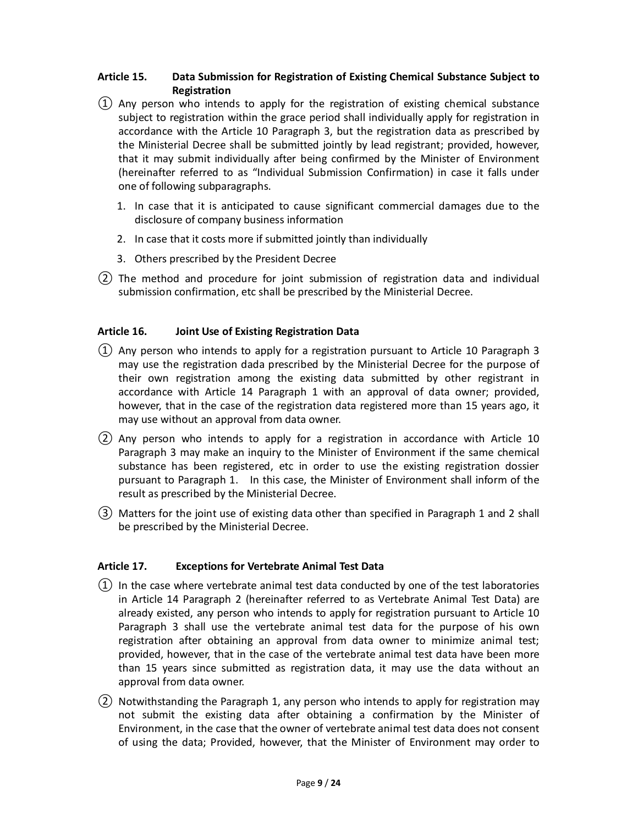# **Article 15. Data Submission for Registration of Existing Chemical Substance Subject to Registration**

- $(1)$  Any person who intends to apply for the registration of existing chemical substance subject to registration within the grace period shall individually apply for registration in accordance with the Article 10 Paragraph 3, but the registration data as prescribed by the Ministerial Decree shall be submitted jointly by lead registrant; provided, however, that it may submit individually after being confirmed by the Minister of Environment (hereinafter referred to as "Individual Submission Confirmation) in case it falls under one of following subparagraphs.
	- 1. In case that it is anticipated to cause significant commercial damages due to the disclosure of company business information
	- 2. In case that it costs more if submitted jointly than individually
	- 3. Others prescribed by the President Decree
- ② The method and procedure for joint submission of registration data and individual submission confirmation, etc shall be prescribed by the Ministerial Decree.

# **Article 16. Joint Use of Existing Registration Data**

- ① Any person who intends to apply for a registration pursuant to Article 10 Paragraph 3 may use the registration dada prescribed by the Ministerial Decree for the purpose of their own registration among the existing data submitted by other registrant in accordance with Article 14 Paragraph 1 with an approval of data owner; provided, however, that in the case of the registration data registered more than 15 years ago, it may use without an approval from data owner.
- ② Any person who intends to apply for a registration in accordance with Article 10 Paragraph 3 may make an inquiry to the Minister of Environment if the same chemical substance has been registered, etc in order to use the existing registration dossier pursuant to Paragraph 1. In this case, the Minister of Environment shall inform of the result as prescribed by the Ministerial Decree.
- ③ Matters for the joint use of existing data other than specified in Paragraph 1 and 2 shall be prescribed by the Ministerial Decree.

#### **Article 17. Exceptions for Vertebrate Animal Test Data**

- $(1)$  In the case where vertebrate animal test data conducted by one of the test laboratories in Article 14 Paragraph 2 (hereinafter referred to as Vertebrate Animal Test Data) are already existed, any person who intends to apply for registration pursuant to Article 10 Paragraph 3 shall use the vertebrate animal test data for the purpose of his own registration after obtaining an approval from data owner to minimize animal test; provided, however, that in the case of the vertebrate animal test data have been more than 15 years since submitted as registration data, it may use the data without an approval from data owner.
- ② Notwithstanding the Paragraph 1, any person who intends to apply for registration may not submit the existing data after obtaining a confirmation by the Minister of Environment, in the case that the owner of vertebrate animal test data does not consent of using the data; Provided, however, that the Minister of Environment may order to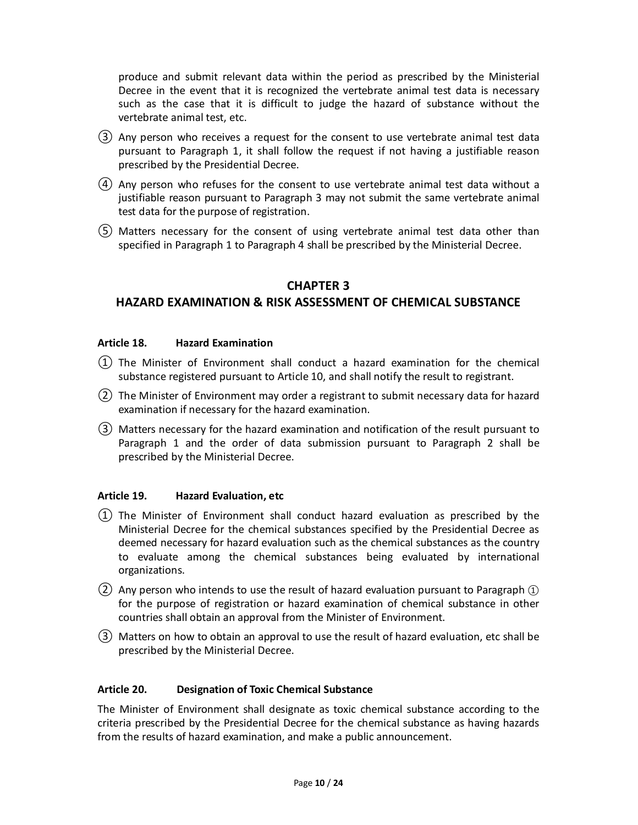produce and submit relevant data within the period as prescribed by the Ministerial Decree in the event that it is recognized the vertebrate animal test data is necessary such as the case that it is difficult to judge the hazard of substance without the vertebrate animal test, etc.

- ③ Any person who receives a request for the consent to use vertebrate animal test data pursuant to Paragraph 1, it shall follow the request if not having a justifiable reason prescribed by the Presidential Decree.
- ④ Any person who refuses for the consent to use vertebrate animal test data without a justifiable reason pursuant to Paragraph 3 may not submit the same vertebrate animal test data for the purpose of registration.
- ⑤ Matters necessary for the consent of using vertebrate animal test data other than specified in Paragraph 1 to Paragraph 4 shall be prescribed by the Ministerial Decree.

# **CHAPTER 3**

# **HAZARD EXAMINATION & RISK ASSESSMENT OF CHEMICAL SUBSTANCE**

#### **Article 18. Hazard Examination**

- $(1)$  The Minister of Environment shall conduct a hazard examination for the chemical substance registered pursuant to Article 10, and shall notify the result to registrant.
- ② The Minister of Environment may order a registrant to submit necessary data for hazard examination if necessary for the hazard examination.
- ③ Matters necessary for the hazard examination and notification of the result pursuant to Paragraph 1 and the order of data submission pursuant to Paragraph 2 shall be prescribed by the Ministerial Decree.

# **Article 19. Hazard Evaluation, etc**

- ① The Minister of Environment shall conduct hazard evaluation as prescribed by the Ministerial Decree for the chemical substances specified by the Presidential Decree as deemed necessary for hazard evaluation such as the chemical substances as the country to evaluate among the chemical substances being evaluated by international organizations.
- $(2)$  Any person who intends to use the result of hazard evaluation pursuant to Paragraph  $\textcircled{1}$ for the purpose of registration or hazard examination of chemical substance in other countries shall obtain an approval from the Minister of Environment.
- ③ Matters on how to obtain an approval to use the result of hazard evaluation, etc shall be prescribed by the Ministerial Decree.

#### **Article 20. Designation of Toxic Chemical Substance**

The Minister of Environment shall designate as toxic chemical substance according to the criteria prescribed by the Presidential Decree for the chemical substance as having hazards from the results of hazard examination, and make a public announcement.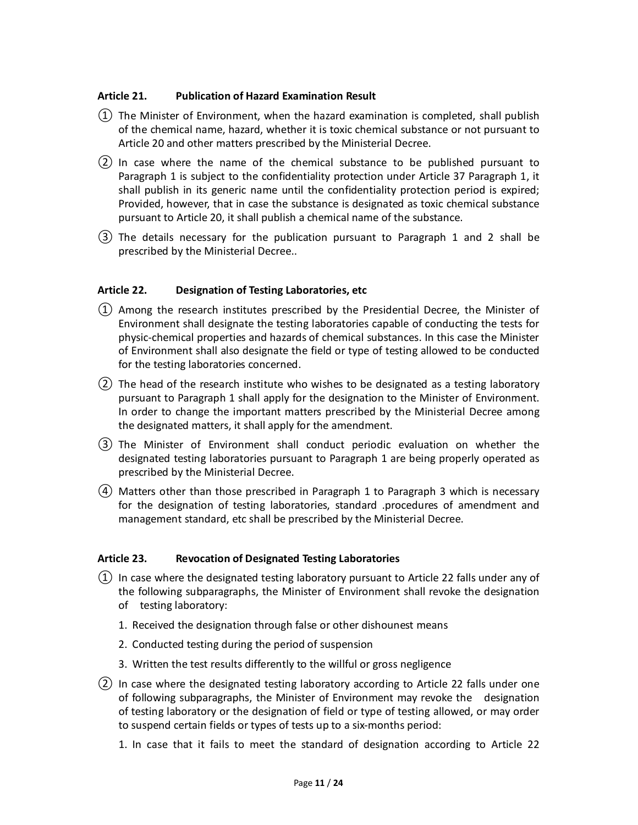#### **Article 21. Publication of Hazard Examination Result**

- $(1)$  The Minister of Environment, when the hazard examination is completed, shall publish of the chemical name, hazard, whether it is toxic chemical substance or not pursuant to Article 20 and other matters prescribed by the Ministerial Decree.
- ② In case where the name of the chemical substance to be published pursuant to Paragraph 1 is subject to the confidentiality protection under Article 37 Paragraph 1, it shall publish in its generic name until the confidentiality protection period is expired; Provided, however, that in case the substance is designated as toxic chemical substance pursuant to Article 20, it shall publish a chemical name of the substance.
- ③ The details necessary for the publication pursuant to Paragraph 1 and 2 shall be prescribed by the Ministerial Decree..

#### **Article 22. Designation of Testing Laboratories, etc**

- ① Among the research institutes prescribed by the Presidential Decree, the Minister of Environment shall designate the testing laboratories capable of conducting the tests for physic-chemical properties and hazards of chemical substances. In this case the Minister of Environment shall also designate the field or type of testing allowed to be conducted for the testing laboratories concerned.
- ② The head of the research institute who wishes to be designated as a testing laboratory pursuant to Paragraph 1 shall apply for the designation to the Minister of Environment. In order to change the important matters prescribed by the Ministerial Decree among the designated matters, it shall apply for the amendment.
- ③ The Minister of Environment shall conduct periodic evaluation on whether the designated testing laboratories pursuant to Paragraph 1 are being properly operated as prescribed by the Ministerial Decree.
- ④ Matters other than those prescribed in Paragraph 1 to Paragraph 3 which is necessary for the designation of testing laboratories, standard .procedures of amendment and management standard, etc shall be prescribed by the Ministerial Decree.

#### **Article 23. Revocation of Designated Testing Laboratories**

- ① In case where the designated testing laboratory pursuant to Article 22 falls under any of the following subparagraphs, the Minister of Environment shall revoke the designation of testing laboratory:
	- 1. Received the designation through false or other dishounest means
	- 2. Conducted testing during the period of suspension
	- 3. Written the test results differently to the willful or gross negligence
- ② In case where the designated testing laboratory according to Article 22 falls under one of following subparagraphs, the Minister of Environment may revoke the designation of testing laboratory or the designation of field or type of testing allowed, or may order to suspend certain fields or types of tests up to a six-months period:
	- 1. In case that it fails to meet the standard of designation according to Article 22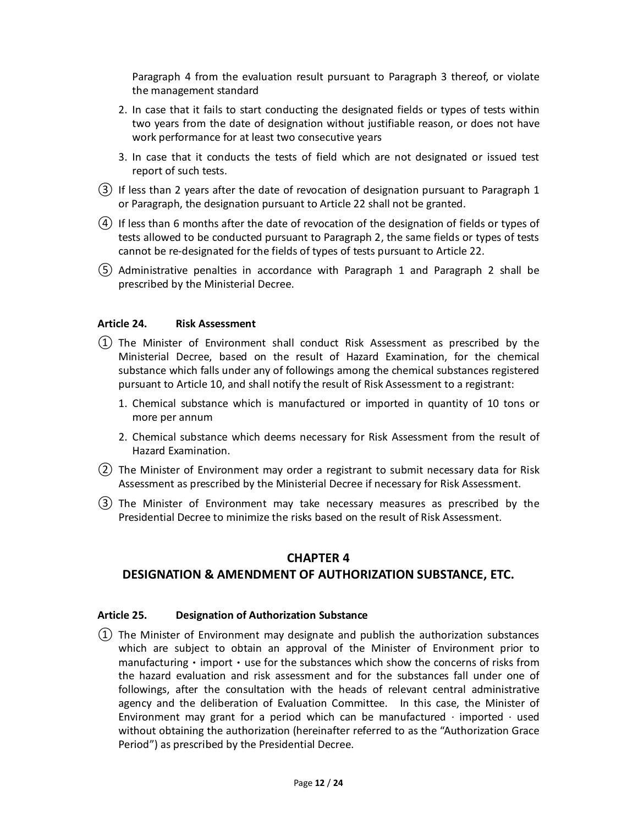Paragraph 4 from the evaluation result pursuant to Paragraph 3 thereof, or violate the management standard

- 2. In case that it fails to start conducting the designated fields or types of tests within two years from the date of designation without justifiable reason, or does not have work performance for at least two consecutive years
- 3. In case that it conducts the tests of field which are not designated or issued test report of such tests.
- ③ If less than 2 years after the date of revocation of designation pursuant to Paragraph 1 or Paragraph, the designation pursuant to Article 22 shall not be granted.
- ④ If less than 6 months after the date of revocation of the designation of fields or types of tests allowed to be conducted pursuant to Paragraph 2, the same fields or types of tests cannot be re-designated for the fields of types of tests pursuant to Article 22.
- ⑤ Administrative penalties in accordance with Paragraph 1 and Paragraph 2 shall be prescribed by the Ministerial Decree.

#### **Article 24. Risk Assessment**

- ① The Minister of Environment shall conduct Risk Assessment as prescribed by the Ministerial Decree, based on the result of Hazard Examination, for the chemical substance which falls under any of followings among the chemical substances registered pursuant to Article 10, and shall notify the result of Risk Assessment to a registrant:
	- 1. Chemical substance which is manufactured or imported in quantity of 10 tons or more per annum
	- 2. Chemical substance which deems necessary for Risk Assessment from the result of Hazard Examination.
- ② The Minister of Environment may order a registrant to submit necessary data for Risk Assessment as prescribed by the Ministerial Decree if necessary for Risk Assessment.
- ③ The Minister of Environment may take necessary measures as prescribed by the Presidential Decree to minimize the risks based on the result of Risk Assessment.

#### **CHAPTER 4**

# **DESIGNATION & AMENDMENT OF AUTHORIZATION SUBSTANCE, ETC.**

#### **Article 25. Designation of Authorization Substance**

 $(1)$  The Minister of Environment may designate and publish the authorization substances which are subject to obtain an approval of the Minister of Environment prior to manufacturing • import • use for the substances which show the concerns of risks from the hazard evaluation and risk assessment and for the substances fall under one of followings, after the consultation with the heads of relevant central administrative agency and the deliberation of Evaluation Committee. In this case, the Minister of Environment may grant for a period which can be manufactured  $\cdot$  imported  $\cdot$  used without obtaining the authorization (hereinafter referred to as the "Authorization Grace Period") as prescribed by the Presidential Decree.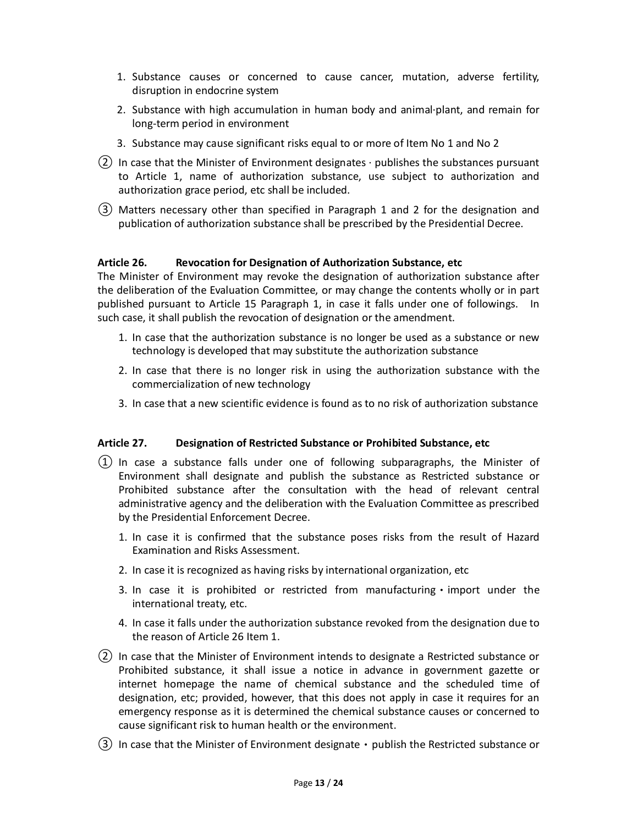- 1. Substance causes or concerned to cause cancer, mutation, adverse fertility, disruption in endocrine system
- 2. Substance with high accumulation in human body and animal·plant, and remain for long-term period in environment
- 3. Substance may cause significant risks equal to or more of Item No 1 and No 2
- $(2)$  In case that the Minister of Environment designates  $\cdot$  publishes the substances pursuant to Article 1, name of authorization substance, use subject to authorization and authorization grace period, etc shall be included.
- ③ Matters necessary other than specified in Paragraph 1 and 2 for the designation and publication of authorization substance shall be prescribed by the Presidential Decree.

#### **Article 26. Revocation for Designation of Authorization Substance, etc**

The Minister of Environment may revoke the designation of authorization substance after the deliberation of the Evaluation Committee, or may change the contents wholly or in part published pursuant to Article 15 Paragraph 1, in case it falls under one of followings. In such case, it shall publish the revocation of designation or the amendment.

- 1. In case that the authorization substance is no longer be used as a substance or new technology is developed that may substitute the authorization substance
- 2. In case that there is no longer risk in using the authorization substance with the commercialization of new technology
- 3. In case that a new scientific evidence is found as to no risk of authorization substance

#### **Article 27. Designation of Restricted Substance or Prohibited Substance, etc**

- ① In case a substance falls under one of following subparagraphs, the Minister of Environment shall designate and publish the substance as Restricted substance or Prohibited substance after the consultation with the head of relevant central administrative agency and the deliberation with the Evaluation Committee as prescribed by the Presidential Enforcement Decree.
	- 1. In case it is confirmed that the substance poses risks from the result of Hazard Examination and Risks Assessment.
	- 2. In case it is recognized as having risks by international organization, etc
	- 3. In case it is prohibited or restricted from manufacturing  $\cdot$  import under the international treaty, etc.
	- 4. In case it falls under the authorization substance revoked from the designation due to the reason of Article 26 Item 1.
- ② In case that the Minister of Environment intends to designate a Restricted substance or Prohibited substance, it shall issue a notice in advance in government gazette or internet homepage the name of chemical substance and the scheduled time of designation, etc; provided, however, that this does not apply in case it requires for an emergency response as it is determined the chemical substance causes or concerned to cause significant risk to human health or the environment.
- $(3)$  In case that the Minister of Environment designate  $\cdot$  publish the Restricted substance or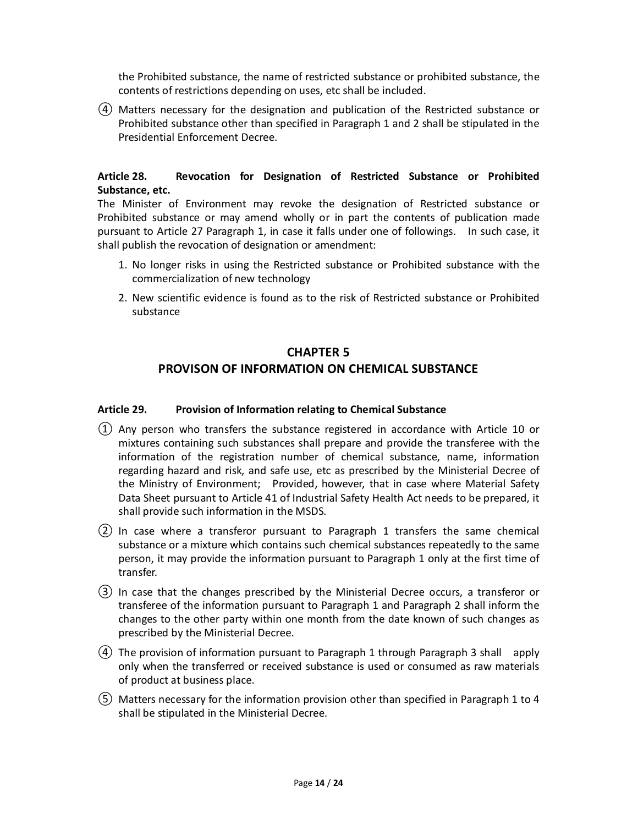the Prohibited substance, the name of restricted substance or prohibited substance, the contents of restrictions depending on uses, etc shall be included.

④ Matters necessary for the designation and publication of the Restricted substance or Prohibited substance other than specified in Paragraph 1 and 2 shall be stipulated in the Presidential Enforcement Decree.

# **Article 28. Revocation for Designation of Restricted Substance or Prohibited Substance, etc.**

The Minister of Environment may revoke the designation of Restricted substance or Prohibited substance or may amend wholly or in part the contents of publication made pursuant to Article 27 Paragraph 1, in case it falls under one of followings. In such case, it shall publish the revocation of designation or amendment:

- 1. No longer risks in using the Restricted substance or Prohibited substance with the commercialization of new technology
- 2. New scientific evidence is found as to the risk of Restricted substance or Prohibited substance

# **CHAPTER 5**

# **PROVISON OF INFORMATION ON CHEMICAL SUBSTANCE**

### **Article 29. Provision of Information relating to Chemical Substance**

- ① Any person who transfers the substance registered in accordance with Article 10 or mixtures containing such substances shall prepare and provide the transferee with the information of the registration number of chemical substance, name, information regarding hazard and risk, and safe use, etc as prescribed by the Ministerial Decree of the Ministry of Environment; Provided, however, that in case where Material Safety Data Sheet pursuant to Article 41 of Industrial Safety Health Act needs to be prepared, it shall provide such information in the MSDS.
- ② In case where a transferor pursuant to Paragraph 1 transfers the same chemical substance or a mixture which contains such chemical substances repeatedly to the same person, it may provide the information pursuant to Paragraph 1 only at the first time of transfer.
- ③ In case that the changes prescribed by the Ministerial Decree occurs, a transferor or transferee of the information pursuant to Paragraph 1 and Paragraph 2 shall inform the changes to the other party within one month from the date known of such changes as prescribed by the Ministerial Decree.
- ④ The provision of information pursuant to Paragraph 1 through Paragraph 3 shall apply only when the transferred or received substance is used or consumed as raw materials of product at business place.
- ⑤ Matters necessary for the information provision other than specified in Paragraph 1 to 4 shall be stipulated in the Ministerial Decree.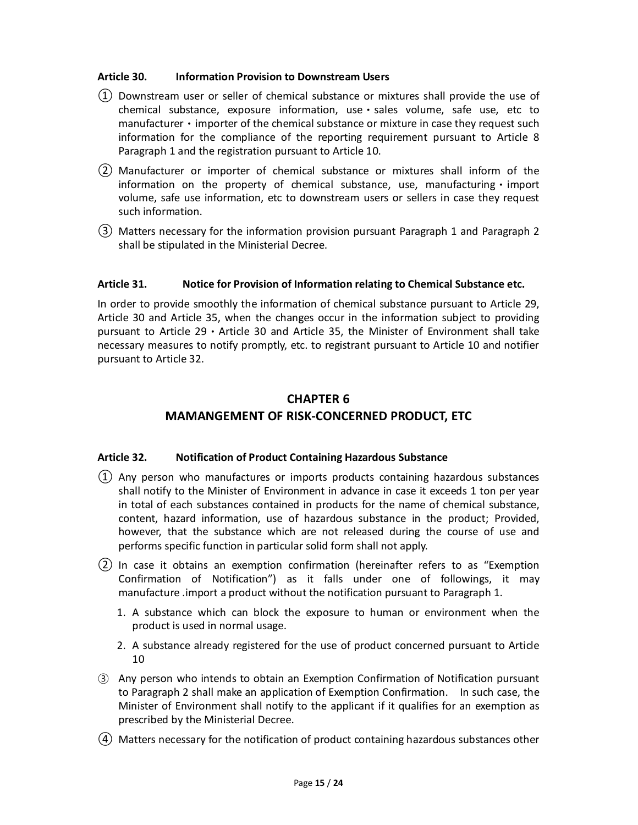#### **Article 30. Information Provision to Downstream Users**

- ① Downstream user or seller of chemical substance or mixtures shall provide the use of chemical substance, exposure information, use · sales volume, safe use, etc to manufacturer • importer of the chemical substance or mixture in case they request such information for the compliance of the reporting requirement pursuant to Article 8 Paragraph 1 and the registration pursuant to Article 10.
- ② Manufacturer or importer of chemical substance or mixtures shall inform of the information on the property of chemical substance, use, manufacturing  $\cdot$  import volume, safe use information, etc to downstream users or sellers in case they request such information.
- ③ Matters necessary for the information provision pursuant Paragraph 1 and Paragraph 2 shall be stipulated in the Ministerial Decree.

#### **Article 31. Notice for Provision of Information relating to Chemical Substance etc.**

In order to provide smoothly the information of chemical substance pursuant to Article 29, Article 30 and Article 35, when the changes occur in the information subject to providing pursuant to Article 29ㆍArticle 30 and Article 35, the Minister of Environment shall take necessary measures to notify promptly, etc. to registrant pursuant to Article 10 and notifier pursuant to Article 32.

# **CHAPTER 6 MAMANGEMENT OF RISK-CONCERNED PRODUCT, ETC**

#### **Article 32. Notification of Product Containing Hazardous Substance**

- $(1)$  Any person who manufactures or imports products containing hazardous substances shall notify to the Minister of Environment in advance in case it exceeds 1 ton per year in total of each substances contained in products for the name of chemical substance, content, hazard information, use of hazardous substance in the product; Provided, however, that the substance which are not released during the course of use and performs specific function in particular solid form shall not apply.
- ② In case it obtains an exemption confirmation (hereinafter refers to as "Exemption Confirmation of Notification") as it falls under one of followings, it may manufacture .import a product without the notification pursuant to Paragraph 1.
	- 1. A substance which can block the exposure to human or environment when the product is used in normal usage.
	- 2. A substance already registered for the use of product concerned pursuant to Article 10
- ③ Any person who intends to obtain an Exemption Confirmation of Notification pursuant to Paragraph 2 shall make an application of Exemption Confirmation. In such case, the Minister of Environment shall notify to the applicant if it qualifies for an exemption as prescribed by the Ministerial Decree.
- ④ Matters necessary for the notification of product containing hazardous substances other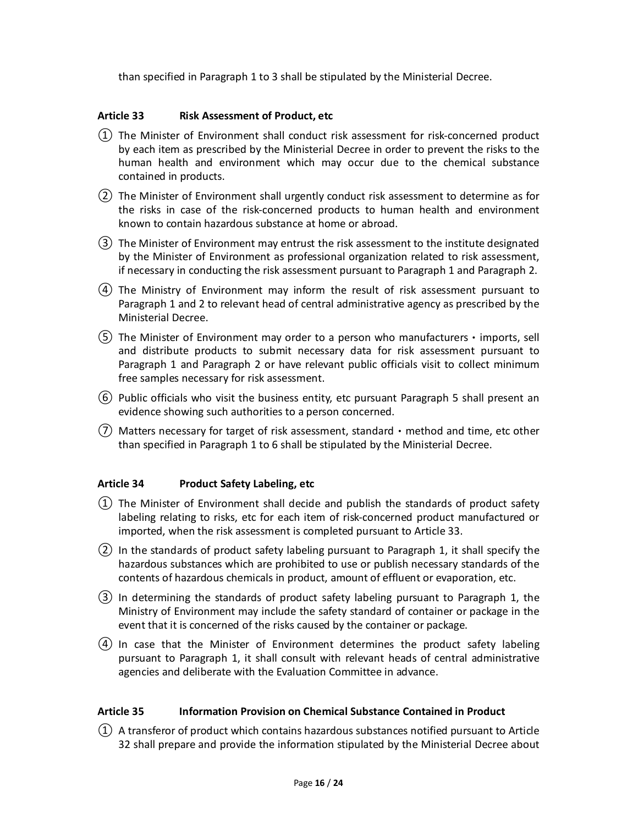than specified in Paragraph 1 to 3 shall be stipulated by the Ministerial Decree.

#### **Article 33 Risk Assessment of Product, etc**

- $(1)$  The Minister of Environment shall conduct risk assessment for risk-concerned product by each item as prescribed by the Ministerial Decree in order to prevent the risks to the human health and environment which may occur due to the chemical substance contained in products.
- ② The Minister of Environment shall urgently conduct risk assessment to determine as for the risks in case of the risk-concerned products to human health and environment known to contain hazardous substance at home or abroad.
- ③ The Minister of Environment may entrust the risk assessment to the institute designated by the Minister of Environment as professional organization related to risk assessment, if necessary in conducting the risk assessment pursuant to Paragraph 1 and Paragraph 2.
- ④ The Ministry of Environment may inform the result of risk assessment pursuant to Paragraph 1 and 2 to relevant head of central administrative agency as prescribed by the Ministerial Decree.
- ⑤ The Minister of Environment may order to a person who manufacturersㆍimports, sell and distribute products to submit necessary data for risk assessment pursuant to Paragraph 1 and Paragraph 2 or have relevant public officials visit to collect minimum free samples necessary for risk assessment.
- ⑥ Public officials who visit the business entity, etc pursuant Paragraph 5 shall present an evidence showing such authorities to a person concerned.
- $(7)$  Matters necessary for target of risk assessment, standard method and time, etc other than specified in Paragraph 1 to 6 shall be stipulated by the Ministerial Decree.

#### **Article 34 Product Safety Labeling, etc**

- $(1)$  The Minister of Environment shall decide and publish the standards of product safety labeling relating to risks, etc for each item of risk-concerned product manufactured or imported, when the risk assessment is completed pursuant to Article 33.
- ② In the standards of product safety labeling pursuant to Paragraph 1, it shall specify the hazardous substances which are prohibited to use or publish necessary standards of the contents of hazardous chemicals in product, amount of effluent or evaporation, etc.
- ③ In determining the standards of product safety labeling pursuant to Paragraph 1, the Ministry of Environment may include the safety standard of container or package in the event that it is concerned of the risks caused by the container or package.
- ④ In case that the Minister of Environment determines the product safety labeling pursuant to Paragraph 1, it shall consult with relevant heads of central administrative agencies and deliberate with the Evaluation Committee in advance.

#### **Article 35 Information Provision on Chemical Substance Contained in Product**

 $(1)$  A transferor of product which contains hazardous substances notified pursuant to Article 32 shall prepare and provide the information stipulated by the Ministerial Decree about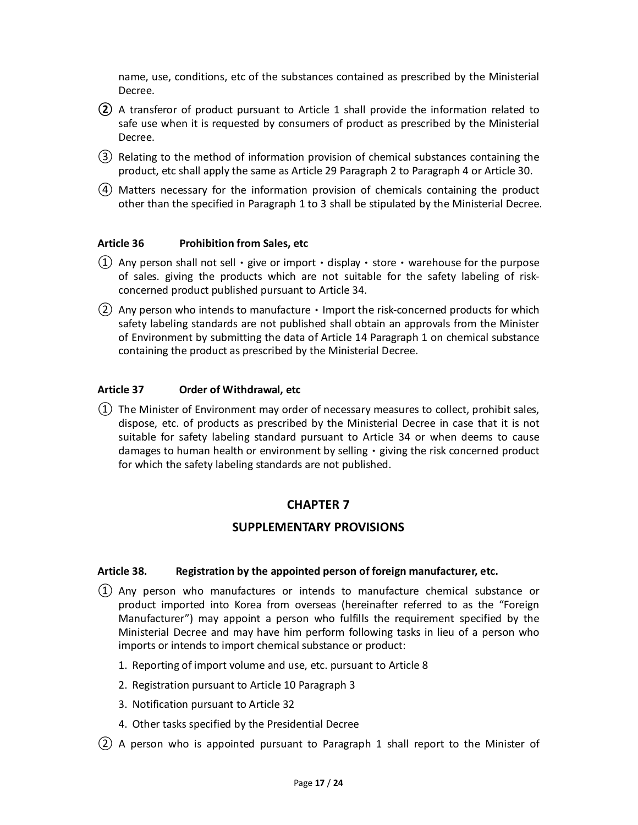name, use, conditions, etc of the substances contained as prescribed by the Ministerial Decree.

- **②** A transferor of product pursuant to Article 1 shall provide the information related to safe use when it is requested by consumers of product as prescribed by the Ministerial Decree.
- ③ Relating to the method of information provision of chemical substances containing the product, etc shall apply the same as Article 29 Paragraph 2 to Paragraph 4 or Article 30.
- ④ Matters necessary for the information provision of chemicals containing the product other than the specified in Paragraph 1 to 3 shall be stipulated by the Ministerial Decree.

#### **Article 36 Prohibition from Sales, etc**

- (1) Any person shall not sell give or import display store warehouse for the purpose of sales. giving the products which are not suitable for the safety labeling of riskconcerned product published pursuant to Article 34.
- $(2)$  Any person who intends to manufacture  $\cdot$  Import the risk-concerned products for which safety labeling standards are not published shall obtain an approvals from the Minister of Environment by submitting the data of Article 14 Paragraph 1 on chemical substance containing the product as prescribed by the Ministerial Decree.

#### **Article 37 Order of Withdrawal, etc**

① The Minister of Environment may order of necessary measures to collect, prohibit sales, dispose, etc. of products as prescribed by the Ministerial Decree in case that it is not suitable for safety labeling standard pursuant to Article 34 or when deems to cause damages to human health or environment by selling  $\cdot$  giving the risk concerned product for which the safety labeling standards are not published.

# **CHAPTER 7**

# **SUPPLEMENTARY PROVISIONS**

#### **Article 38. Registration by the appointed person of foreign manufacturer, etc.**

- $(1)$  Any person who manufactures or intends to manufacture chemical substance or product imported into Korea from overseas (hereinafter referred to as the "Foreign Manufacturer") may appoint a person who fulfills the requirement specified by the Ministerial Decree and may have him perform following tasks in lieu of a person who imports or intends to import chemical substance or product:
	- 1. Reporting of import volume and use, etc. pursuant to Article 8
	- 2. Registration pursuant to Article 10 Paragraph 3
	- 3. Notification pursuant to Article 32
	- 4. Other tasks specified by the Presidential Decree
- ② A person who is appointed pursuant to Paragraph 1 shall report to the Minister of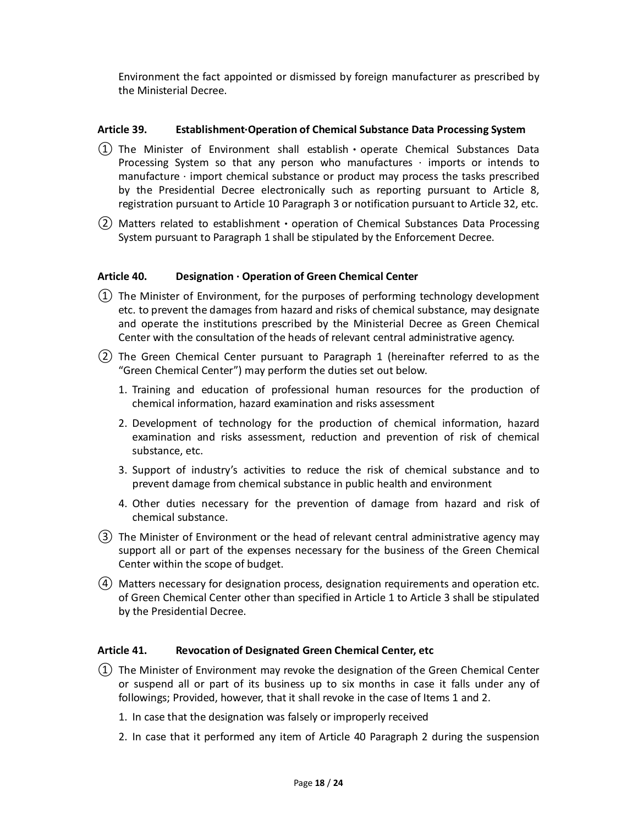Environment the fact appointed or dismissed by foreign manufacturer as prescribed by the Ministerial Decree.

#### **Article 39. Establishment·Operation of Chemical Substance Data Processing System**

- $(1)$  The Minister of Environment shall establish operate Chemical Substances Data Processing System so that any person who manufactures  $\cdot$  imports or intends to manufacture · import chemical substance or product may process the tasks prescribed by the Presidential Decree electronically such as reporting pursuant to Article 8, registration pursuant to Article 10 Paragraph 3 or notification pursuant to Article 32, etc.
- ② Matters related to establishmentㆍoperation of Chemical Substances Data Processing System pursuant to Paragraph 1 shall be stipulated by the Enforcement Decree.

#### **Article 40. Designation · Operation of Green Chemical Center**

- ① The Minister of Environment, for the purposes of performing technology development etc. to prevent the damages from hazard and risks of chemical substance, may designate and operate the institutions prescribed by the Ministerial Decree as Green Chemical Center with the consultation of the heads of relevant central administrative agency.
- ② The Green Chemical Center pursuant to Paragraph 1 (hereinafter referred to as the "Green Chemical Center") may perform the duties set out below.
	- 1. Training and education of professional human resources for the production of chemical information, hazard examination and risks assessment
	- 2. Development of technology for the production of chemical information, hazard examination and risks assessment, reduction and prevention of risk of chemical substance, etc.
	- 3. Support of industry's activities to reduce the risk of chemical substance and to prevent damage from chemical substance in public health and environment
	- 4. Other duties necessary for the prevention of damage from hazard and risk of chemical substance.
- ③ The Minister of Environment or the head of relevant central administrative agency may support all or part of the expenses necessary for the business of the Green Chemical Center within the scope of budget.
- ④ Matters necessary for designation process, designation requirements and operation etc. of Green Chemical Center other than specified in Article 1 to Article 3 shall be stipulated by the Presidential Decree.

#### **Article 41. Revocation of Designated Green Chemical Center, etc**

- ① The Minister of Environment may revoke the designation of the Green Chemical Center or suspend all or part of its business up to six months in case it falls under any of followings; Provided, however, that it shall revoke in the case of Items 1 and 2.
	- 1. In case that the designation was falsely or improperly received
	- 2. In case that it performed any item of Article 40 Paragraph 2 during the suspension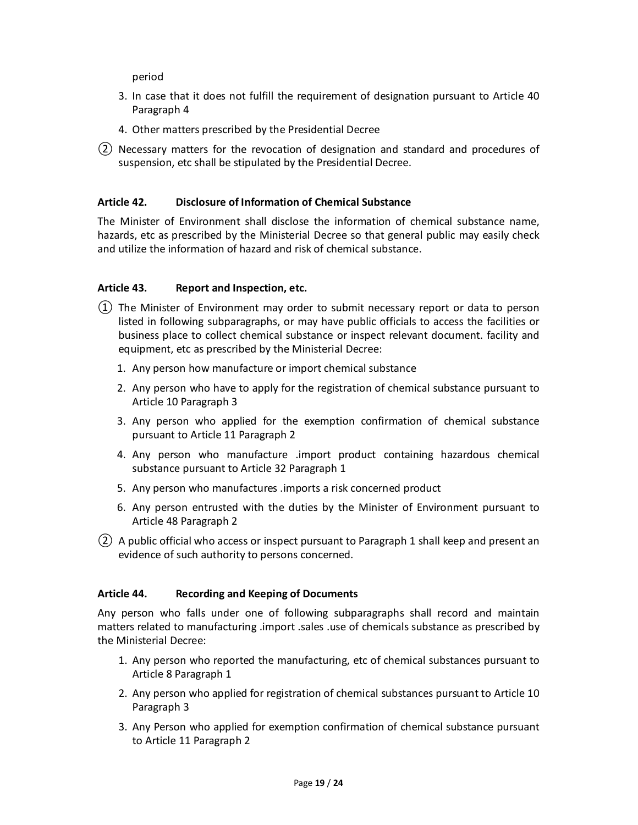period

- 3. In case that it does not fulfill the requirement of designation pursuant to Article 40 Paragraph 4
- 4. Other matters prescribed by the Presidential Decree
- ② Necessary matters for the revocation of designation and standard and procedures of suspension, etc shall be stipulated by the Presidential Decree.

#### **Article 42. Disclosure of Information of Chemical Substance**

The Minister of Environment shall disclose the information of chemical substance name, hazards, etc as prescribed by the Ministerial Decree so that general public may easily check and utilize the information of hazard and risk of chemical substance.

#### **Article 43. Report and Inspection, etc.**

- ① The Minister of Environment may order to submit necessary report or data to person listed in following subparagraphs, or may have public officials to access the facilities or business place to collect chemical substance or inspect relevant document. facility and equipment, etc as prescribed by the Ministerial Decree:
	- 1. Any person how manufacture or import chemical substance
	- 2. Any person who have to apply for the registration of chemical substance pursuant to Article 10 Paragraph 3
	- 3. Any person who applied for the exemption confirmation of chemical substance pursuant to Article 11 Paragraph 2
	- 4. Any person who manufacture .import product containing hazardous chemical substance pursuant to Article 32 Paragraph 1
	- 5. Any person who manufactures .imports a risk concerned product
	- 6. Any person entrusted with the duties by the Minister of Environment pursuant to Article 48 Paragraph 2
- ② A public official who access or inspect pursuant to Paragraph 1 shall keep and present an evidence of such authority to persons concerned.

#### **Article 44. Recording and Keeping of Documents**

Any person who falls under one of following subparagraphs shall record and maintain matters related to manufacturing .import .sales .use of chemicals substance as prescribed by the Ministerial Decree:

- 1. Any person who reported the manufacturing, etc of chemical substances pursuant to Article 8 Paragraph 1
- 2. Any person who applied for registration of chemical substances pursuant to Article 10 Paragraph 3
- 3. Any Person who applied for exemption confirmation of chemical substance pursuant to Article 11 Paragraph 2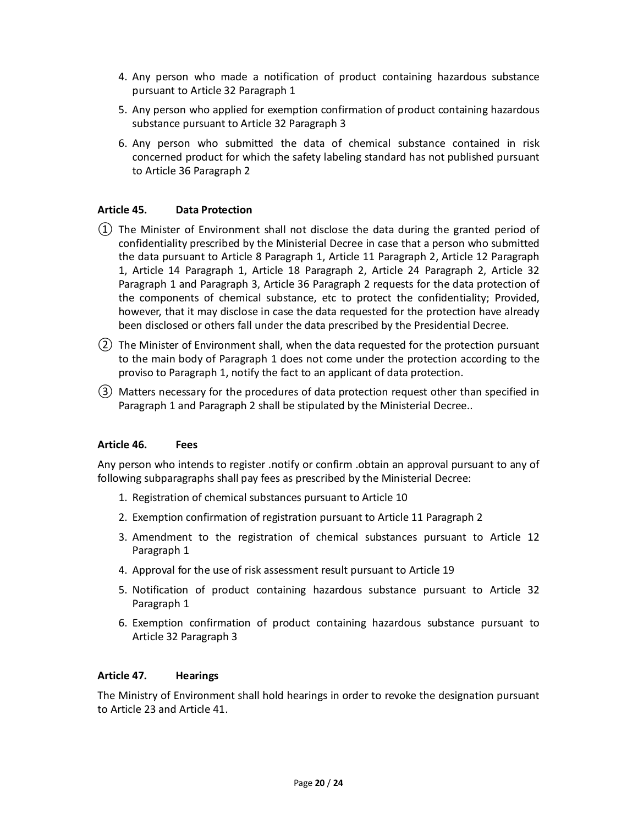- 4. Any person who made a notification of product containing hazardous substance pursuant to Article 32 Paragraph 1
- 5. Any person who applied for exemption confirmation of product containing hazardous substance pursuant to Article 32 Paragraph 3
- 6. Any person who submitted the data of chemical substance contained in risk concerned product for which the safety labeling standard has not published pursuant to Article 36 Paragraph 2

# **Article 45. Data Protection**

- ① The Minister of Environment shall not disclose the data during the granted period of confidentiality prescribed by the Ministerial Decree in case that a person who submitted the data pursuant to Article 8 Paragraph 1, Article 11 Paragraph 2, Article 12 Paragraph 1, Article 14 Paragraph 1, Article 18 Paragraph 2, Article 24 Paragraph 2, Article 32 Paragraph 1 and Paragraph 3, Article 36 Paragraph 2 requests for the data protection of the components of chemical substance, etc to protect the confidentiality; Provided, however, that it may disclose in case the data requested for the protection have already been disclosed or others fall under the data prescribed by the Presidential Decree.
- ② The Minister of Environment shall, when the data requested for the protection pursuant to the main body of Paragraph 1 does not come under the protection according to the proviso to Paragraph 1, notify the fact to an applicant of data protection.
- ③ Matters necessary for the procedures of data protection request other than specified in Paragraph 1 and Paragraph 2 shall be stipulated by the Ministerial Decree..

#### **Article 46. Fees**

Any person who intends to register .notify or confirm .obtain an approval pursuant to any of following subparagraphs shall pay fees as prescribed by the Ministerial Decree:

- 1. Registration of chemical substances pursuant to Article 10
- 2. Exemption confirmation of registration pursuant to Article 11 Paragraph 2
- 3. Amendment to the registration of chemical substances pursuant to Article 12 Paragraph 1
- 4. Approval for the use of risk assessment result pursuant to Article 19
- 5. Notification of product containing hazardous substance pursuant to Article 32 Paragraph 1
- 6. Exemption confirmation of product containing hazardous substance pursuant to Article 32 Paragraph 3

#### **Article 47. Hearings**

The Ministry of Environment shall hold hearings in order to revoke the designation pursuant to Article 23 and Article 41.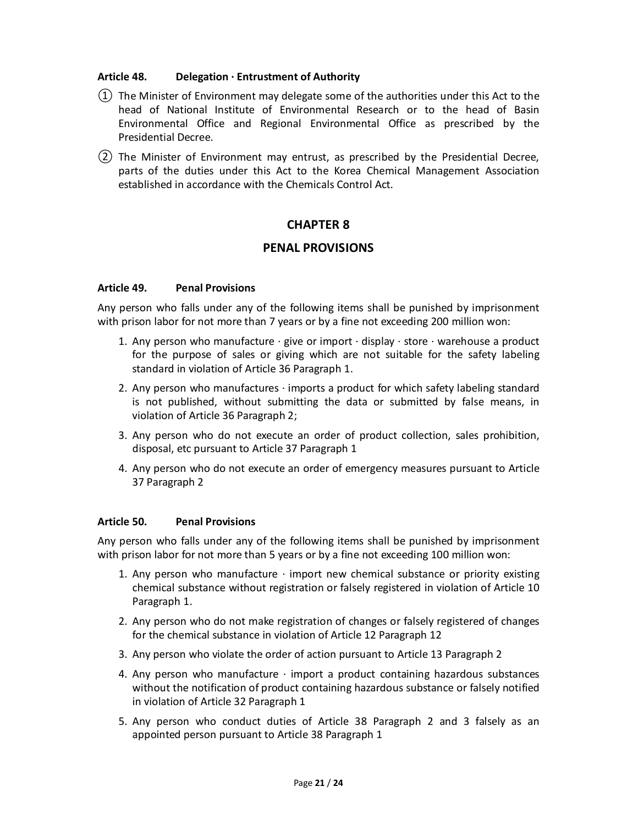#### **Article 48. Delegation · Entrustment of Authority**

- $(1)$  The Minister of Environment may delegate some of the authorities under this Act to the head of National Institute of Environmental Research or to the head of Basin Environmental Office and Regional Environmental Office as prescribed by the Presidential Decree.
- ② The Minister of Environment may entrust, as prescribed by the Presidential Decree, parts of the duties under this Act to the Korea Chemical Management Association established in accordance with the Chemicals Control Act.

# **CHAPTER 8**

# **PENAL PROVISIONS**

#### **Article 49. Penal Provisions**

Any person who falls under any of the following items shall be punished by imprisonment with prison labor for not more than 7 years or by a fine not exceeding 200 million won:

- 1. Any person who manufacture  $\cdot$  give or import  $\cdot$  display  $\cdot$  store  $\cdot$  warehouse a product for the purpose of sales or giving which are not suitable for the safety labeling standard in violation of Article 36 Paragraph 1.
- 2. Any person who manufactures · imports a product for which safety labeling standard is not published, without submitting the data or submitted by false means, in violation of Article 36 Paragraph 2;
- 3. Any person who do not execute an order of product collection, sales prohibition, disposal, etc pursuant to Article 37 Paragraph 1
- 4. Any person who do not execute an order of emergency measures pursuant to Article 37 Paragraph 2

#### **Article 50. Penal Provisions**

Any person who falls under any of the following items shall be punished by imprisonment with prison labor for not more than 5 years or by a fine not exceeding 100 million won:

- 1. Any person who manufacture  $\cdot$  import new chemical substance or priority existing chemical substance without registration or falsely registered in violation of Article 10 Paragraph 1.
- 2. Any person who do not make registration of changes or falsely registered of changes for the chemical substance in violation of Article 12 Paragraph 12
- 3. Any person who violate the order of action pursuant to Article 13 Paragraph 2
- 4. Any person who manufacture  $\cdot$  import a product containing hazardous substances without the notification of product containing hazardous substance or falsely notified in violation of Article 32 Paragraph 1
- 5. Any person who conduct duties of Article 38 Paragraph 2 and 3 falsely as an appointed person pursuant to Article 38 Paragraph 1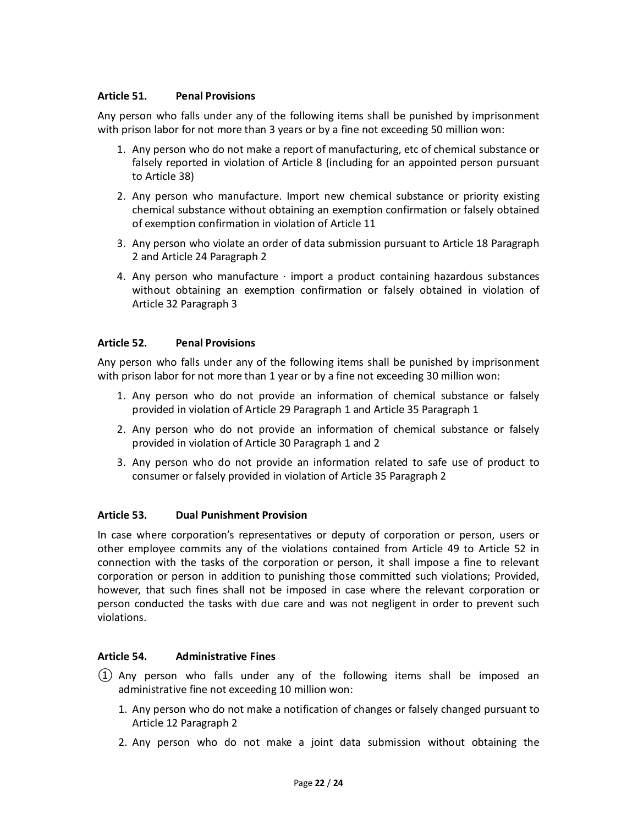### **Article 51. Penal Provisions**

Any person who falls under any of the following items shall be punished by imprisonment with prison labor for not more than 3 years or by a fine not exceeding 50 million won:

- 1. Any person who do not make a report of manufacturing, etc of chemical substance or falsely reported in violation of Article 8 (including for an appointed person pursuant to Article 38)
- 2. Any person who manufacture. Import new chemical substance or priority existing chemical substance without obtaining an exemption confirmation or falsely obtained of exemption confirmation in violation of Article 11
- 3. Any person who violate an order of data submission pursuant to Article 18 Paragraph 2 and Article 24 Paragraph 2
- 4. Any person who manufacture  $\cdot$  import a product containing hazardous substances without obtaining an exemption confirmation or falsely obtained in violation of Article 32 Paragraph 3

# **Article 52. Penal Provisions**

Any person who falls under any of the following items shall be punished by imprisonment with prison labor for not more than 1 year or by a fine not exceeding 30 million won:

- 1. Any person who do not provide an information of chemical substance or falsely provided in violation of Article 29 Paragraph 1 and Article 35 Paragraph 1
- 2. Any person who do not provide an information of chemical substance or falsely provided in violation of Article 30 Paragraph 1 and 2
- 3. Any person who do not provide an information related to safe use of product to consumer or falsely provided in violation of Article 35 Paragraph 2

# **Article 53. Dual Punishment Provision**

In case where corporation's representatives or deputy of corporation or person, users or other employee commits any of the violations contained from Article 49 to Article 52 in connection with the tasks of the corporation or person, it shall impose a fine to relevant corporation or person in addition to punishing those committed such violations; Provided, however, that such fines shall not be imposed in case where the relevant corporation or person conducted the tasks with due care and was not negligent in order to prevent such violations.

#### **Article 54. Administrative Fines**

- ① Any person who falls under any of the following items shall be imposed an administrative fine not exceeding 10 million won:
	- 1. Any person who do not make a notification of changes or falsely changed pursuant to Article 12 Paragraph 2
	- 2. Any person who do not make a joint data submission without obtaining the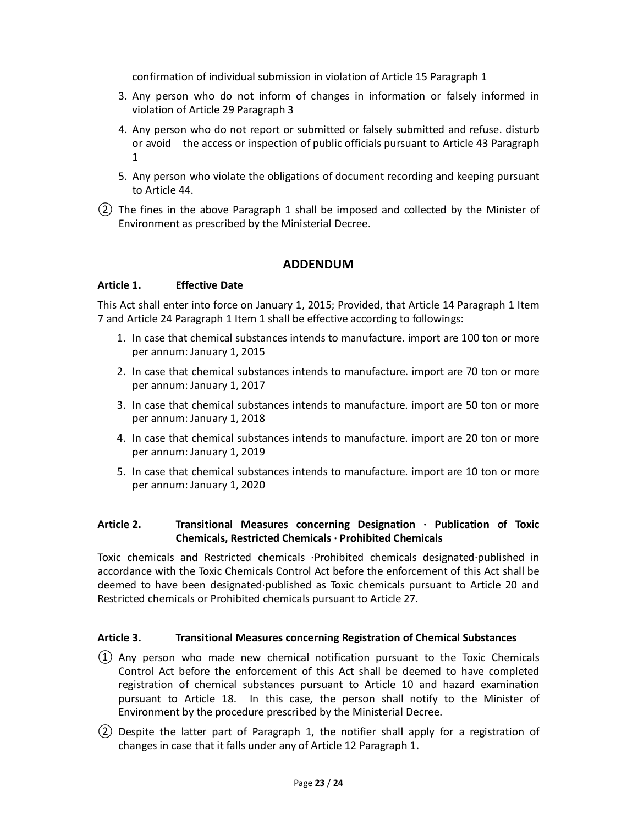confirmation of individual submission in violation of Article 15 Paragraph 1

- 3. Any person who do not inform of changes in information or falsely informed in violation of Article 29 Paragraph 3
- 4. Any person who do not report or submitted or falsely submitted and refuse. disturb or avoid the access or inspection of public officials pursuant to Article 43 Paragraph 1
- 5. Any person who violate the obligations of document recording and keeping pursuant to Article 44.
- ② The fines in the above Paragraph 1 shall be imposed and collected by the Minister of Environment as prescribed by the Ministerial Decree.

# **ADDENDUM**

#### **Article 1. Effective Date**

This Act shall enter into force on January 1, 2015; Provided, that Article 14 Paragraph 1 Item 7 and Article 24 Paragraph 1 Item 1 shall be effective according to followings:

- 1. In case that chemical substances intends to manufacture. import are 100 ton or more per annum: January 1, 2015
- 2. In case that chemical substances intends to manufacture. import are 70 ton or more per annum: January 1, 2017
- 3. In case that chemical substances intends to manufacture. import are 50 ton or more per annum: January 1, 2018
- 4. In case that chemical substances intends to manufacture. import are 20 ton or more per annum: January 1, 2019
- 5. In case that chemical substances intends to manufacture. import are 10 ton or more per annum: January 1, 2020

# **Article 2. Transitional Measures concerning Designation · Publication of Toxic Chemicals, Restricted Chemicals · Prohibited Chemicals**

Toxic chemicals and Restricted chemicals ·Prohibited chemicals designated·published in accordance with the Toxic Chemicals Control Act before the enforcement of this Act shall be deemed to have been designated·published as Toxic chemicals pursuant to Article 20 and Restricted chemicals or Prohibited chemicals pursuant to Article 27.

#### **Article 3. Transitional Measures concerning Registration of Chemical Substances**

- $(1)$  Any person who made new chemical notification pursuant to the Toxic Chemicals Control Act before the enforcement of this Act shall be deemed to have completed registration of chemical substances pursuant to Article 10 and hazard examination pursuant to Article 18. In this case, the person shall notify to the Minister of Environment by the procedure prescribed by the Ministerial Decree.
- ② Despite the latter part of Paragraph 1, the notifier shall apply for a registration of changes in case that it falls under any of Article 12 Paragraph 1.